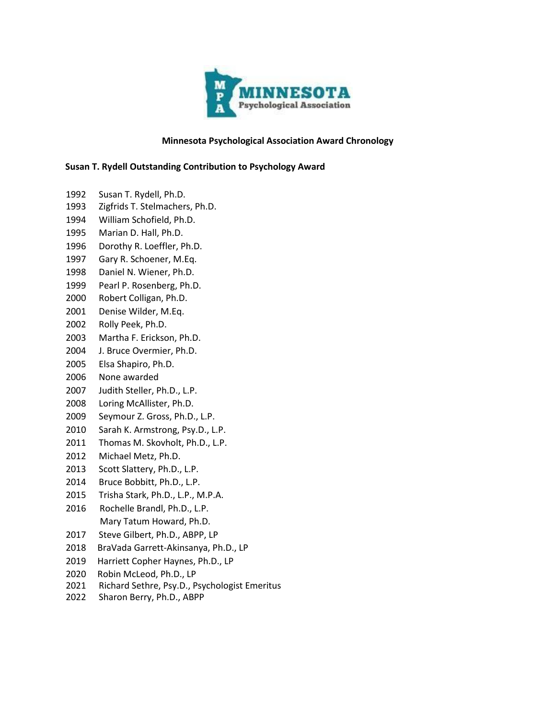

# **Minnesota Psychological Association Award Chronology**

### **Susan T. Rydell Outstanding Contribution to Psychology Award**

- Susan T. Rydell, Ph.D.
- Zigfrids T. Stelmachers, Ph.D.
- William Schofield, Ph.D.
- Marian D. Hall, Ph.D.
- Dorothy R. Loeffler, Ph.D.
- Gary R. Schoener, M.Eq.
- Daniel N. Wiener, Ph.D.
- Pearl P. Rosenberg, Ph.D.
- Robert Colligan, Ph.D.
- Denise Wilder, M.Eq.
- Rolly Peek, Ph.D.
- Martha F. Erickson, Ph.D.
- J. Bruce Overmier, Ph.D.
- Elsa Shapiro, Ph.D.
- None awarded
- Judith Steller, Ph.D., L.P.
- Loring McAllister, Ph.D.
- Seymour Z. Gross, Ph.D., L.P.
- Sarah K. Armstrong, Psy.D., L.P.
- Thomas M. Skovholt, Ph.D., L.P.
- Michael Metz, Ph.D.
- Scott Slattery, Ph.D., L.P.
- Bruce Bobbitt, Ph.D., L.P.
- Trisha Stark, Ph.D., L.P., M.P.A.
- Rochelle Brandl, Ph.D., L.P. Mary Tatum Howard, Ph.D.
- Steve Gilbert, Ph.D., ABPP, LP
- BraVada Garrett-Akinsanya, Ph.D., LP
- Harriett Copher Haynes, Ph.D., LP
- Robin McLeod, Ph.D., LP
- Richard Sethre, Psy.D., Psychologist Emeritus
- Sharon Berry, Ph.D., ABPP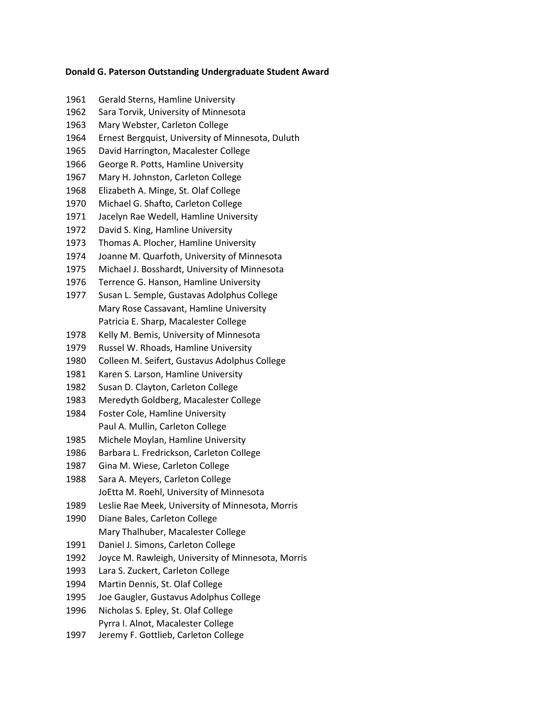### **Donald G. Paterson Outstanding Undergraduate Student Award**

 Gerald Sterns, Hamline University Sara Torvik, University of Minnesota Mary Webster, Carleton College Ernest Bergquist, University of Minnesota, Duluth David Harrington, Macalester College George R. Potts, Hamline University Mary H. Johnston, Carleton College Elizabeth A. Minge, St. Olaf College Michael G. Shafto, Carleton College Jacelyn Rae Wedell, Hamline University David S. King, Hamline University Thomas A. Plocher, Hamline University Joanne M. Quarfoth, University of Minnesota Michael J. Bosshardt, University of Minnesota Terrence G. Hanson, Hamline University Susan L. Semple, Gustavas Adolphus College Mary Rose Cassavant, Hamline University Patricia E. Sharp, Macalester College Kelly M. Bemis, University of Minnesota Russel W. Rhoads, Hamline University Colleen M. Seifert, Gustavus Adolphus College Karen S. Larson, Hamline University Susan D. Clayton, Carleton College Meredyth Goldberg, Macalester College Foster Cole, Hamline University Paul A. Mullin, Carleton College Michele Moylan, Hamline University Barbara L. Fredrickson, Carleton College Gina M. Wiese, Carleton College Sara A. Meyers, Carleton College JoEtta M. Roehl, University of Minnesota Leslie Rae Meek, University of Minnesota, Morris Diane Bales, Carleton College Mary Thalhuber, Macalester College 1991 Daniel J. Simons, Carleton College Joyce M. Rawleigh, University of Minnesota, Morris Lara S. Zuckert, Carleton College Martin Dennis, St. Olaf College Joe Gaugler, Gustavus Adolphus College Nicholas S. Epley, St. Olaf College Pyrra I. Alnot, Macalester College Jeremy F. Gottlieb, Carleton College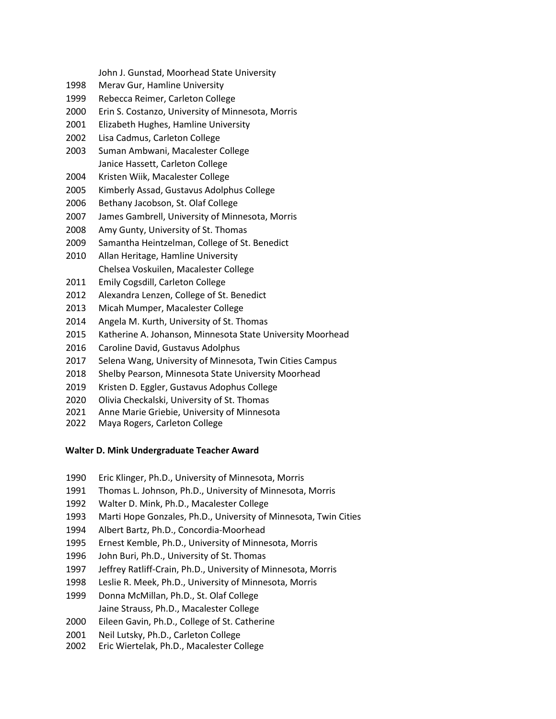John J. Gunstad, Moorhead State University

- Merav Gur, Hamline University
- Rebecca Reimer, Carleton College
- Erin S. Costanzo, University of Minnesota, Morris
- Elizabeth Hughes, Hamline University
- Lisa Cadmus, Carleton College
- Suman Ambwani, Macalester College Janice Hassett, Carleton College
- Kristen Wiik, Macalester College
- Kimberly Assad, Gustavus Adolphus College
- Bethany Jacobson, St. Olaf College
- James Gambrell, University of Minnesota, Morris
- Amy Gunty, University of St. Thomas
- Samantha Heintzelman, College of St. Benedict
- Allan Heritage, Hamline University Chelsea Voskuilen, Macalester College
- Emily Cogsdill, Carleton College
- Alexandra Lenzen, College of St. Benedict
- Micah Mumper, Macalester College
- Angela M. Kurth, University of St. Thomas
- Katherine A. Johanson, Minnesota State University Moorhead
- Caroline David, Gustavus Adolphus
- Selena Wang, University of Minnesota, Twin Cities Campus
- Shelby Pearson, Minnesota State University Moorhead
- Kristen D. Eggler, Gustavus Adophus College
- Olivia Checkalski, University of St. Thomas
- Anne Marie Griebie, University of Minnesota
- Maya Rogers, Carleton College

#### **Walter D. Mink Undergraduate Teacher Award**

- Eric Klinger, Ph.D., University of Minnesota, Morris
- Thomas L. Johnson, Ph.D., University of Minnesota, Morris
- Walter D. Mink, Ph.D., Macalester College
- Marti Hope Gonzales, Ph.D., University of Minnesota, Twin Cities
- Albert Bartz, Ph.D., Concordia-Moorhead
- Ernest Kemble, Ph.D., University of Minnesota, Morris
- John Buri, Ph.D., University of St. Thomas
- Jeffrey Ratliff-Crain, Ph.D., University of Minnesota, Morris
- Leslie R. Meek, Ph.D., University of Minnesota, Morris
- Donna McMillan, Ph.D., St. Olaf College
- Jaine Strauss, Ph.D., Macalester College
- Eileen Gavin, Ph.D., College of St. Catherine
- Neil Lutsky, Ph.D., Carleton College
- Eric Wiertelak, Ph.D., Macalester College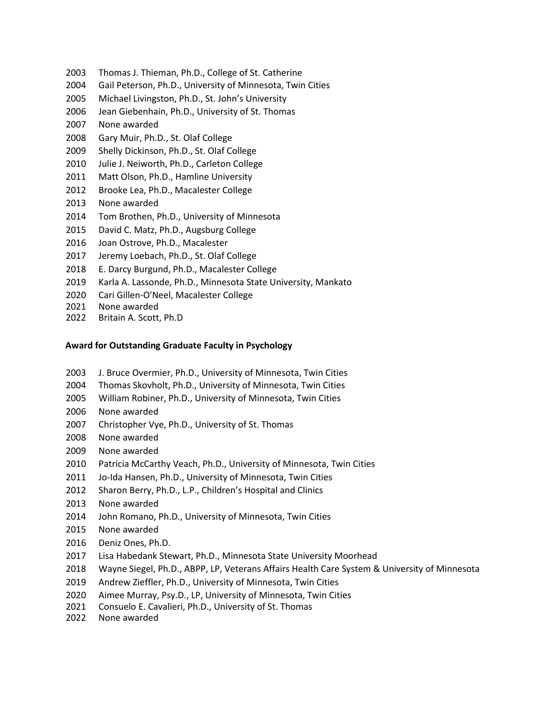- Thomas J. Thieman, Ph.D., College of St. Catherine
- Gail Peterson, Ph.D., University of Minnesota, Twin Cities
- Michael Livingston, Ph.D., St. John's University
- Jean Giebenhain, Ph.D., University of St. Thomas
- None awarded
- Gary Muir, Ph.D., St. Olaf College
- Shelly Dickinson, Ph.D., St. Olaf College
- Julie J. Neiworth, Ph.D., Carleton College
- Matt Olson, Ph.D., Hamline University
- Brooke Lea, Ph.D., Macalester College
- None awarded
- Tom Brothen, Ph.D., University of Minnesota
- David C. Matz, Ph.D., Augsburg College
- Joan Ostrove, Ph.D., Macalester
- Jeremy Loebach, Ph.D., St. Olaf College
- E. Darcy Burgund, Ph.D., Macalester College
- Karla A. Lassonde, Ph.D., Minnesota State University, Mankato
- Cari Gillen-O'Neel, Macalester College
- None awarded
- Britain A. Scott, Ph.D

## **Award for Outstanding Graduate Faculty in Psychology**

- J. Bruce Overmier, Ph.D., University of Minnesota, Twin Cities
- Thomas Skovholt, Ph.D., University of Minnesota, Twin Cities
- William Robiner, Ph.D., University of Minnesota, Twin Cities
- None awarded
- Christopher Vye, Ph.D., University of St. Thomas
- None awarded
- None awarded
- Patricia McCarthy Veach, Ph.D., University of Minnesota, Twin Cities
- Jo-Ida Hansen, Ph.D., University of Minnesota, Twin Cities
- Sharon Berry, Ph.D., L.P., Children's Hospital and Clinics
- None awarded
- John Romano, Ph.D., University of Minnesota, Twin Cities
- None awarded
- Deniz Ones, Ph.D.
- Lisa Habedank Stewart, Ph.D., Minnesota State University Moorhead
- Wayne Siegel, Ph.D., ABPP, LP, Veterans Affairs Health Care System & University of Minnesota
- Andrew Zieffler, Ph.D., University of Minnesota, Twin Cities
- Aimee Murray, Psy.D., LP, University of Minnesota, Twin Cities
- Consuelo E. Cavalieri, Ph.D., University of St. Thomas
- None awarded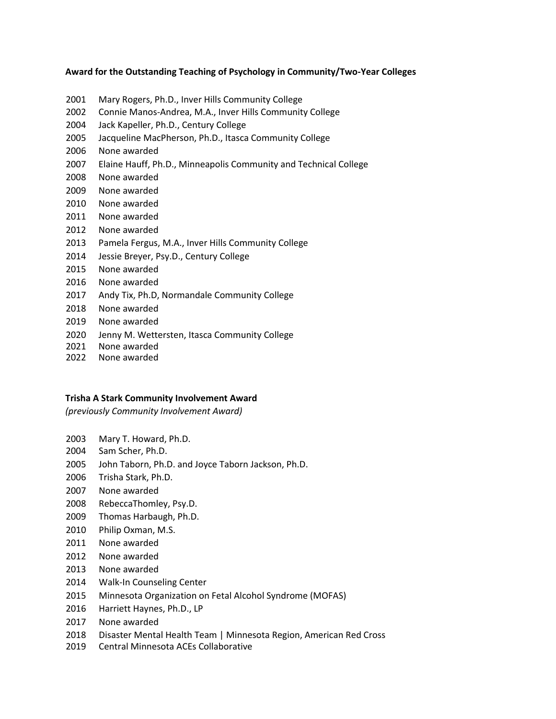## **Award for the Outstanding Teaching of Psychology in Community/Two-Year Colleges**

- Mary Rogers, Ph.D., Inver Hills Community College
- Connie Manos-Andrea, M.A., Inver Hills Community College
- Jack Kapeller, Ph.D., Century College
- Jacqueline MacPherson, Ph.D., Itasca Community College
- None awarded
- Elaine Hauff, Ph.D., Minneapolis Community and Technical College
- None awarded
- None awarded
- None awarded
- None awarded
- None awarded
- Pamela Fergus, M.A., Inver Hills Community College
- Jessie Breyer, Psy.D., Century College
- None awarded
- None awarded
- Andy Tix, Ph.D, Normandale Community College
- None awarded
- None awarded
- Jenny M. Wettersten, Itasca Community College
- None awarded
- None awarded

## **Trisha A Stark Community Involvement Award**

*(previously Community Involvement Award)*

- Mary T. Howard, Ph.D.
- Sam Scher, Ph.D.
- John Taborn, Ph.D. and Joyce Taborn Jackson, Ph.D.
- Trisha Stark, Ph.D.
- None awarded
- RebeccaThomley, Psy.D.
- Thomas Harbaugh, Ph.D.
- Philip Oxman, M.S.
- None awarded
- None awarded
- None awarded
- Walk-In Counseling Center
- Minnesota Organization on Fetal Alcohol Syndrome (MOFAS)
- Harriett Haynes, Ph.D., LP
- None awarded
- Disaster Mental Health Team | Minnesota Region, American Red Cross
- Central Minnesota ACEs Collaborative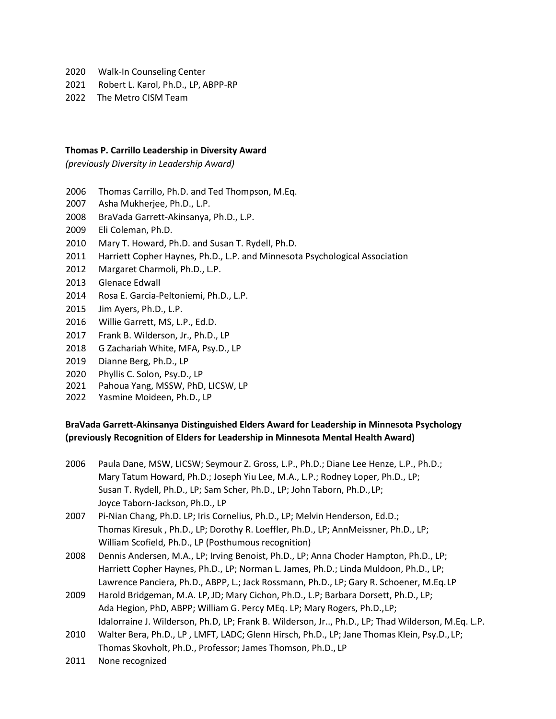- Walk-In Counseling Center
- Robert L. Karol, Ph.D., LP, ABPP-RP
- 2022 The Metro CISM Team

#### **Thomas P. Carrillo Leadership in Diversity Award**

*(previously Diversity in Leadership Award)*

- Thomas Carrillo, Ph.D. and Ted Thompson, M.Eq.
- Asha Mukherjee, Ph.D., L.P.
- BraVada Garrett-Akinsanya, Ph.D., L.P.
- Eli Coleman, Ph.D.
- Mary T. Howard, Ph.D. and Susan T. Rydell, Ph.D.
- Harriett Copher Haynes, Ph.D., L.P. and Minnesota Psychological Association
- Margaret Charmoli, Ph.D., L.P.
- Glenace Edwall
- Rosa E. Garcia-Peltoniemi, Ph.D., L.P.
- Jim Ayers, Ph.D., L.P.
- Willie Garrett, MS, L.P., Ed.D.
- Frank B. Wilderson, Jr., Ph.D., LP
- G Zachariah White, MFA, Psy.D., LP
- Dianne Berg, Ph.D., LP
- Phyllis C. Solon, Psy.D., LP
- Pahoua Yang, MSSW, PhD, LICSW, LP
- Yasmine Moideen, Ph.D., LP

# **BraVada Garrett-Akinsanya Distinguished Elders Award for Leadership in Minnesota Psychology (previously Recognition of Elders for Leadership in Minnesota Mental Health Award)**

- Paula Dane, MSW, LICSW; Seymour Z. Gross, L.P., Ph.D.; Diane Lee Henze, L.P., Ph.D.; Mary Tatum Howard, Ph.D.; Joseph Yiu Lee, M.A., L.P.; Rodney Loper, Ph.D., LP; Susan T. Rydell, Ph.D., LP; Sam Scher, Ph.D., LP; John Taborn, Ph.D.,LP; Joyce Taborn-Jackson, Ph.D., LP
- Pi-Nian Chang, Ph.D. LP; Iris Cornelius, Ph.D., LP; Melvin Henderson, Ed.D.; Thomas Kiresuk , Ph.D., LP; Dorothy R. Loeffler, Ph.D., LP; AnnMeissner, Ph.D., LP; William Scofield, Ph.D., LP (Posthumous recognition)
- Dennis Andersen, M.A., LP; Irving Benoist, Ph.D., LP; Anna Choder Hampton, Ph.D., LP; Harriett Copher Haynes, Ph.D., LP; Norman L. James, Ph.D.; Linda Muldoon, Ph.D., LP; Lawrence Panciera, Ph.D., ABPP, L.; Jack Rossmann, Ph.D., LP; Gary R. Schoener, M.Eq.LP
- Harold Bridgeman, M.A. LP, JD; Mary Cichon, Ph.D., L.P; Barbara Dorsett, Ph.D., LP; Ada Hegion, PhD, ABPP; William G. Percy MEq. LP; Mary Rogers, Ph.D.,LP; Idalorraine J. Wilderson, Ph.D, LP; Frank B. Wilderson, Jr.., Ph.D., LP; Thad Wilderson, M.Eq. L.P.
- Walter Bera, Ph.D., LP , LMFT, LADC; Glenn Hirsch, Ph.D., LP; Jane Thomas Klein, Psy.D., LP; Thomas Skovholt, Ph.D., Professor; James Thomson, Ph.D., LP
- None recognized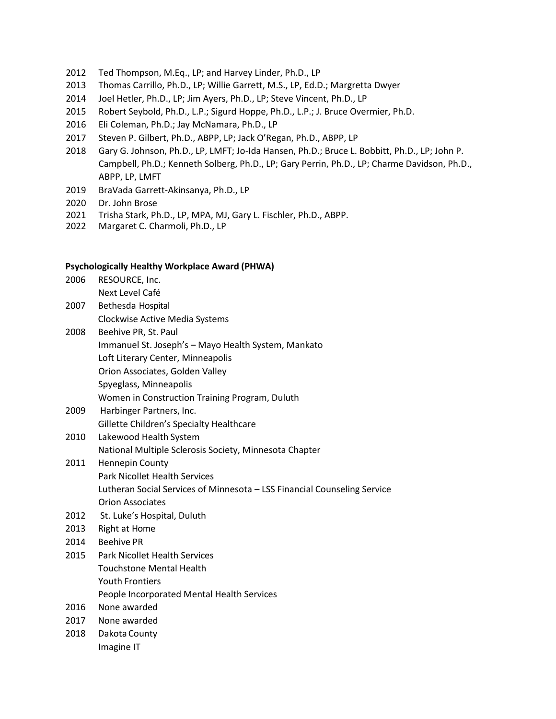- 2012 Ted Thompson, M.Eq., LP; and Harvey Linder, Ph.D., LP
- 2013 Thomas Carrillo, Ph.D., LP; Willie Garrett, M.S., LP, Ed.D.; Margretta Dwyer
- 2014 Joel Hetler, Ph.D., LP; Jim Ayers, Ph.D., LP; Steve Vincent, Ph.D., LP
- 2015 Robert Seybold, Ph.D., L.P.; Sigurd Hoppe, Ph.D., L.P.; J. Bruce Overmier, Ph.D.
- 2016 Eli Coleman, Ph.D.; Jay McNamara, Ph.D., LP
- 2017 Steven P. Gilbert, Ph.D., ABPP, LP; Jack O'Regan, Ph.D., ABPP, LP
- 2018 Gary G. Johnson, Ph.D., LP, LMFT; Jo-Ida Hansen, Ph.D.; Bruce L. Bobbitt, Ph.D., LP; John P. Campbell, Ph.D.; Kenneth Solberg, Ph.D., LP; Gary Perrin, Ph.D., LP; Charme Davidson, Ph.D., ABPP, LP, LMFT
- 2019 BraVada Garrett-Akinsanya, Ph.D., LP
- 2020 Dr. John Brose
- 2021 Trisha Stark, Ph.D., LP, MPA, MJ, Gary L. Fischler, Ph.D., ABPP.
- 2022 Margaret C. Charmoli, Ph.D., LP

#### **Psychologically Healthy Workplace Award (PHWA)**

- 2006 RESOURCE, Inc. Next Level Café
- 2007 Bethesda Hospital Clockwise Active Media Systems
- 2008 Beehive PR, St. Paul Immanuel St. Joseph's – Mayo Health System, Mankato Loft Literary Center, Minneapolis Orion Associates, Golden Valley Spyeglass, Minneapolis Women in Construction Training Program, Duluth
- 2009 Harbinger Partners, Inc. Gillette Children's Specialty Healthcare
- 2010 Lakewood Health System National Multiple Sclerosis Society, Minnesota Chapter
- 2011 Hennepin County Park Nicollet Health Services Lutheran Social Services of Minnesota – LSS Financial Counseling Service Orion Associates
- 2012 St. Luke's Hospital, Duluth
- 2013 Right at Home
- 2014 Beehive PR
- 2015 Park Nicollet Health Services Touchstone Mental Health Youth Frontiers People Incorporated Mental Health Services
- 2016 None awarded
- 2017 None awarded
- 2018 Dakota County Imagine IT